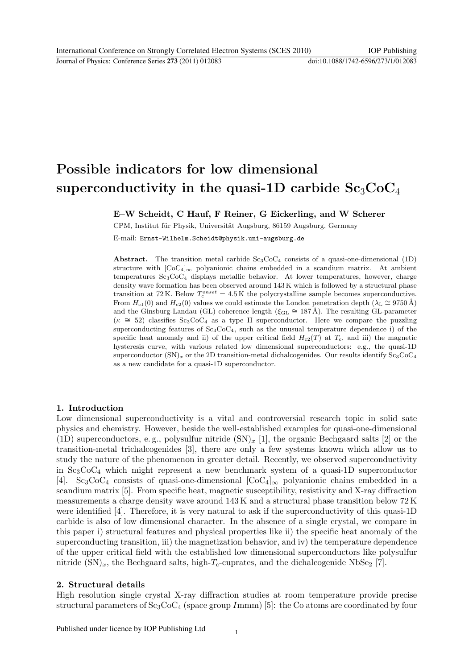# Possible indicators for low dimensional superconductivity in the quasi-1D carbide  $Sc_3CoC_4$

E–W Scheidt, C Hauf, F Reiner, G Eickerling, and W Scherer

CPM, Institut für Physik, Universität Augsburg, 86159 Augsburg, Germany

E-mail: Ernst-Wilhelm.Scheidt@physik.uni-augsburg.de

Abstract. The transition metal carbide  $Sc_3CoC_4$  consists of a quasi-one-dimensional (1D) structure with  $[CoC_4]_{\infty}$  polyanionic chains embedded in a scandium matrix. At ambient temperatures  $Sc_3CoC_4$  displays metallic behavior. At lower temperatures, however, charge density wave formation has been observed around 143 K which is followed by a structural phase transition at 72 K. Below  $T_c^{onset} = 4.5$  K the polycrystalline sample becomes superconductive. From  $H_{c1}(0)$  and  $H_{c2}(0)$  values we could estimate the London penetration depth ( $\lambda_L \approx 9750 \text{ Å}$ ) and the Ginsburg-Landau (GL) coherence length ( $\xi_{GL} \cong 187 \text{ Å}$ ). The resulting GL-parameter  $(\kappa \cong 52)$  classifies Sc<sub>3</sub>CoC<sub>4</sub> as a type II superconductor. Here we compare the puzzling superconducting features of  $Sc_3CoC_4$ , such as the unusual temperature dependence i) of the specific heat anomaly and ii) of the upper critical field  $H_{c2}(T)$  at  $T_c$ , and iii) the magnetic hysteresis curve, with various related low dimensional superconductors: e.g., the quasi-1D superconductor  $(SN)_x$  or the 2D transition-metal dichalcogenides. Our results identify  $Sc_3CoC_4$ as a new candidate for a quasi-1D superconductor.

## 1. Introduction

Low dimensional superconductivity is a vital and controversial research topic in solid sate physics and chemistry. However, beside the well-established examples for quasi-one-dimensional (1D) superconductors, e.g., polysulfur nitride  $(SN)_r$  [1], the organic Bechgaard salts [2] or the transition-metal trichalcogenides [3], there are only a few systems known which allow us to study the nature of the phenomenon in greater detail. Recently, we observed superconductivity in  $Sc_3CoC_4$  which might represent a new benchmark system of a quasi-1D superconductor [4]. Sc<sub>3</sub>CoC<sub>4</sub> consists of quasi-one-dimensional  $[CoC_4]_{\infty}$  polyanionic chains embedded in a scandium matrix [5]. From specific heat, magnetic susceptibility, resistivity and X-ray diffraction measurements a charge density wave around 143 K and a structural phase transition below 72 K were identified [4]. Therefore, it is very natural to ask if the superconductivity of this quasi-1D carbide is also of low dimensional character. In the absence of a single crystal, we compare in this paper i) structural features and physical properties like ii) the specific heat anomaly of the superconducting transition, iii) the magnetization behavior, and iv) the temperature dependence of the upper critical field with the established low dimensional superconductors like polysulfur nitride  $(SN)_x$ , the Bechgaard salts, high- $T_c$ -cuprates, and the dichalcogenide NbSe<sub>2</sub> [7].

### 2. Structural details

High resolution single crystal X-ray diffraction studies at room temperature provide precise structural parameters of  $Sc_3CoC_4$  (space group Immm) [5]: the Co atoms are coordinated by four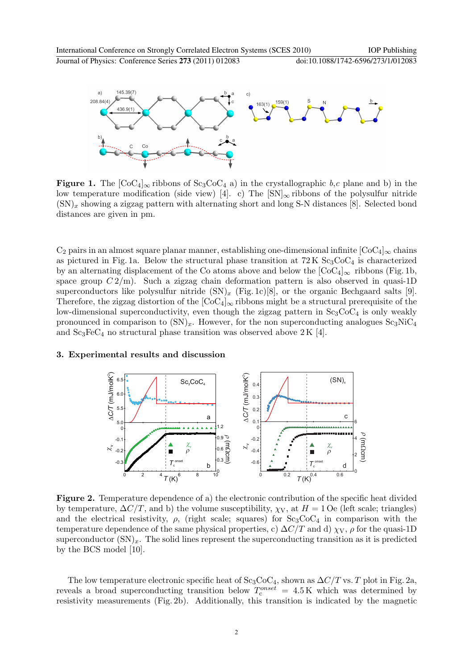



Figure 1. The  $[CoC_4]_{\infty}$  ribbons of  $Sc_3CoC_4$  a) in the crystallographic b,c plane and b) in the low temperature modification (side view) [4]. c) The  $\text{SN}|_{\infty}$  ribbons of the polysulfur nitride  $(SN)_x$  showing a zigzag pattern with alternating short and long S-N distances [8]. Selected bond distances are given in pm.

 $C_2$  pairs in an almost square planar manner, establishing one-dimensional infinite  $[CoC_4]_{\infty}$  chains as pictured in Fig. 1a. Below the structural phase transition at  $72K \text{Sc}_3\text{CoC}_4$  is characterized by an alternating displacement of the Co atoms above and below the  $[CoC_4]_{\infty}$  ribbons (Fig. 1b, space group  $C\frac{2}{m}$ . Such a zigzag chain deformation pattern is also observed in quasi-1D superconductors like polysulfur nitride  $(SN)_x$  (Fig. 1c)[8], or the organic Bechgaard salts [9]. Therefore, the zigzag distortion of the  $[CoC_4]_{\infty}$  ribbons might be a structural prerequisite of the low-dimensional superconductivity, even though the zigzag pattern in  $Sc_3CoC_4$  is only weakly pronounced in comparison to  $(SN)_x$ . However, for the non superconducting analogues  $Sc_3NiC_4$ and  $Sc<sub>3</sub>FeC<sub>4</sub>$  no structural phase transition was observed above 2 K [4].

#### 3. Experimental results and discussion



Figure 2. Temperature dependence of a) the electronic contribution of the specific heat divided by temperature,  $\Delta C/T$ , and b) the volume susceptibility,  $\chi_V$ , at  $H = 1$  Oe (left scale; triangles) and the electrical resistivity,  $\rho$ , (right scale; squares) for  $Sc_3CoC_4$  in comparison with the temperature dependence of the same physical properties, c)  $\Delta C/T$  and d)  $\chi_V$ ,  $\rho$  for the quasi-1D superconductor  $(SN)_x$ . The solid lines represent the superconducting transition as it is predicted by the BCS model [10].

The low temperature electronic specific heat of  $Sc_3CoC_4$ , shown as  $\Delta C/T$  vs. T plot in Fig. 2a, reveals a broad superconducting transition below  $T_c^{onset} = 4.5 \text{ K}$  which was determined by resistivity measurements (Fig. 2b). Additionally, this transition is indicated by the magnetic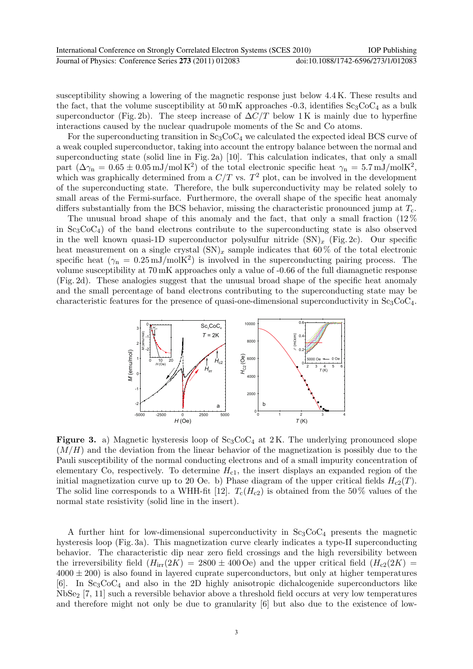susceptibility showing a lowering of the magnetic response just below 4.4 K. These results and the fact, that the volume susceptibility at  $50 \,\text{mK}$  approaches -0.3, identifies  $Sc_3CoC_4$  as a bulk superconductor (Fig. 2b). The steep increase of  $\Delta C/T$  below 1K is mainly due to hyperfine interactions caused by the nuclear quadrupole moments of the Sc and Co atoms.

For the superconducting transition in  $Sc_3CoC_4$  we calculated the expected ideal BCS curve of a weak coupled superconductor, taking into account the entropy balance between the normal and superconducting state (solid line in Fig. 2a) [10]. This calculation indicates, that only a small part  $(\Delta\gamma_n = 0.65 \pm 0.05 \,\text{mJ/mol K}^2)$  of the total electronic specific heat  $\gamma_n = 5.7 \,\text{mJ/mol K}^2$ , which was graphically determined from a  $C/T$  vs.  $T^2$  plot, can be involved in the development of the superconducting state. Therefore, the bulk superconductivity may be related solely to small areas of the Fermi-surface. Furthermore, the overall shape of the specific heat anomaly differs substantially from the BCS behavior, missing the characteristic pronounced jump at  $T_c$ .

The unusual broad shape of this anomaly and the fact, that only a small fraction (12 % in  $Sc_3CoC_4$ ) of the band electrons contribute to the superconducting state is also observed in the well known quasi-1D superconductor polysulfur nitride  $(SN)_x$  (Fig. 2c). Our specific heat measurement on a single crystal  $(SN)_x$  sample indicates that 60% of the total electronic specific heat  $(\gamma_n = 0.25 \,\mathrm{mJ/molK^2})$  is involved in the superconducting pairing process. The volume susceptibility at 70 mK approaches only a value of -0.66 of the full diamagnetic response (Fig. 2d). These analogies suggest that the unusual broad shape of the specific heat anomaly and the small percentage of band electrons contributing to the superconducting state may be characteristic features for the presence of quasi-one-dimensional superconductivity in  $Sc_3CoC_4$ .



**Figure 3.** a) Magnetic hysteresis loop of  $Sc_3CoC_4$  at 2K. The underlying pronounced slope  $(M/H)$  and the deviation from the linear behavior of the magnetization is possibly due to the Pauli susceptibility of the normal conducting electrons and of a small impurity concentration of elementary Co, respectively. To determine  $H_{c1}$ , the insert displays an expanded region of the initial magnetization curve up to 20 Oe. b) Phase diagram of the upper critical fields  $H_{c2}(T)$ . The solid line corresponds to a WHH-fit [12].  $T_c(H_{c2})$  is obtained from the 50% values of the normal state resistivity (solid line in the insert).

A further hint for low-dimensional superconductivity in  $Sc_3CoC_4$  presents the magnetic hysteresis loop (Fig. 3a). This magnetization curve clearly indicates a type-II superconducting behavior. The characteristic dip near zero field crossings and the high reversibility between the irreversibility field  $(H_{irr}(2K) = 2800 \pm 400 \text{ Oe})$  and the upper critical field  $(H_{c2}(2K) =$  $4000 \pm 200$ ) is also found in layered cuprate superconductors, but only at higher temperatures [6]. In  $Sc_3CoC_4$  and also in the 2D highly anisotropic dichalcogenide superconductors like  $NbSe<sub>2</sub>$  [7, 11] such a reversible behavior above a threshold field occurs at very low temperatures and therefore might not only be due to granularity [6] but also due to the existence of low